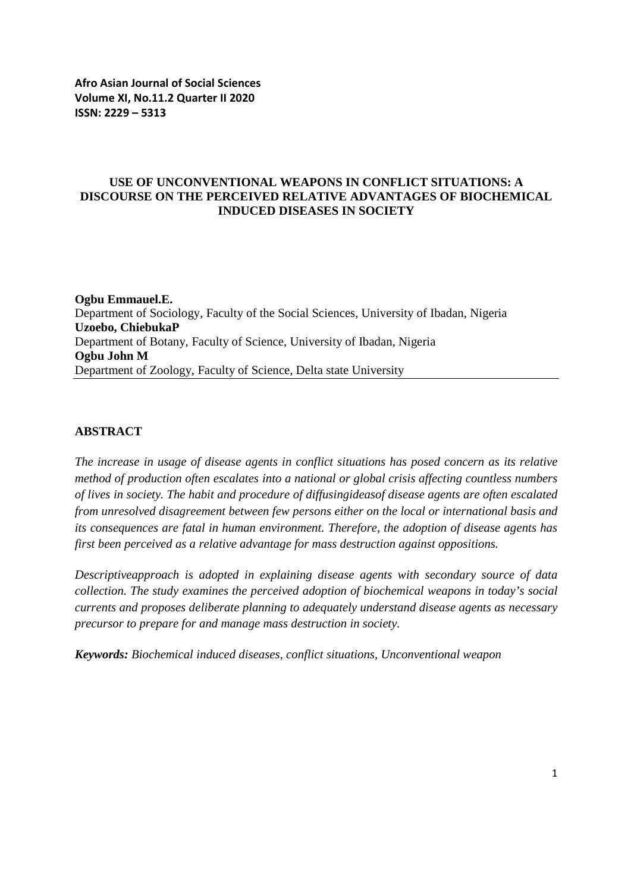## **USE OF UNCONVENTIONAL WEAPONS IN CONFLICT SITUATIONS: A DISCOURSE ON THE PERCEIVED RELATIVE ADVANTAGES OF BIOCHEMICAL INDUCED DISEASES IN SOCIETY**

**Ogbu Emmauel.E.** Department of Sociology, Faculty of the Social Sciences, University of Ibadan, Nigeria **Uzoebo, ChiebukaP** Department of Botany, Faculty of Science, University of Ibadan, Nigeria **Ogbu John M** Department of Zoology, Faculty of Science, Delta state University

# **ABSTRACT**

*The increase in usage of disease agents in conflict situations has posed concern as its relative method of production often escalates into a national or global crisis affecting countless numbers of lives in society. The habit and procedure of diffusingideasof disease agents are often escalated from unresolved disagreement between few persons either on the local or international basis and its consequences are fatal in human environment. Therefore, the adoption of disease agents has first been perceived as a relative advantage for mass destruction against oppositions.*

*Descriptiveapproach is adopted in explaining disease agents with secondary source of data collection. The study examines the perceived adoption of biochemical weapons in today's social currents and proposes deliberate planning to adequately understand disease agents as necessary precursor to prepare for and manage mass destruction in society.* 

*Keywords: Biochemical induced diseases, conflict situations, Unconventional weapon*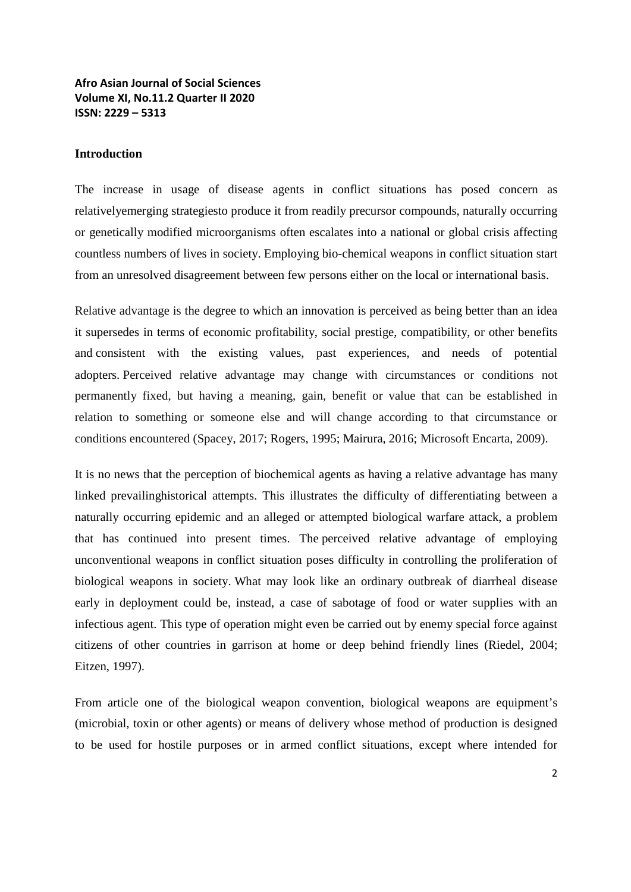#### **Introduction**

The increase in usage of disease agents in conflict situations has posed concern as relativelyemerging strategiesto produce it from readily precursor compounds, naturally occurring or genetically modified microorganisms often escalates into a national or global crisis affecting countless numbers of lives in society. Employing bio-chemical weapons in conflict situation start from an unresolved disagreement between few persons either on the local or international basis.

Relative advantage is the degree to which an innovation is perceived as being better than an idea it supersedes in terms of economic profitability, social prestige, compatibility, or other benefits and consistent with the existing values, past experiences, and needs of potential adopters. Perceived relative advantage may change with circumstances or conditions not permanently fixed, but having a meaning, gain, benefit or value that can be established in relation to something or someone else and will change according to that circumstance or conditions encountered (Spacey, 2017; Rogers, 1995; Mairura, 2016; Microsoft Encarta, 2009).

It is no news that the perception of biochemical agents as having a relative advantage has many linked prevailinghistorical attempts. This illustrates the difficulty of differentiating between a naturally occurring epidemic and an alleged or attempted biological warfare attack, a problem that has continued into present times. The perceived relative advantage of employing unconventional weapons in conflict situation poses difficulty in controlling the proliferation of biological weapons in society. What may look like an ordinary outbreak of diarrheal disease early in deployment could be, instead, a case of sabotage of food or water supplies with an infectious agent. This type of operation might even be carried out by enemy special force against citizens of other countries in garrison at home or deep behind friendly lines (Riedel, 2004; Eitzen, 1997).

From article one of the biological weapon convention, biological weapons are equipment's (microbial, toxin or other agents) or means of delivery whose method of production is designed to be used for hostile purposes or in armed conflict situations, except where intended for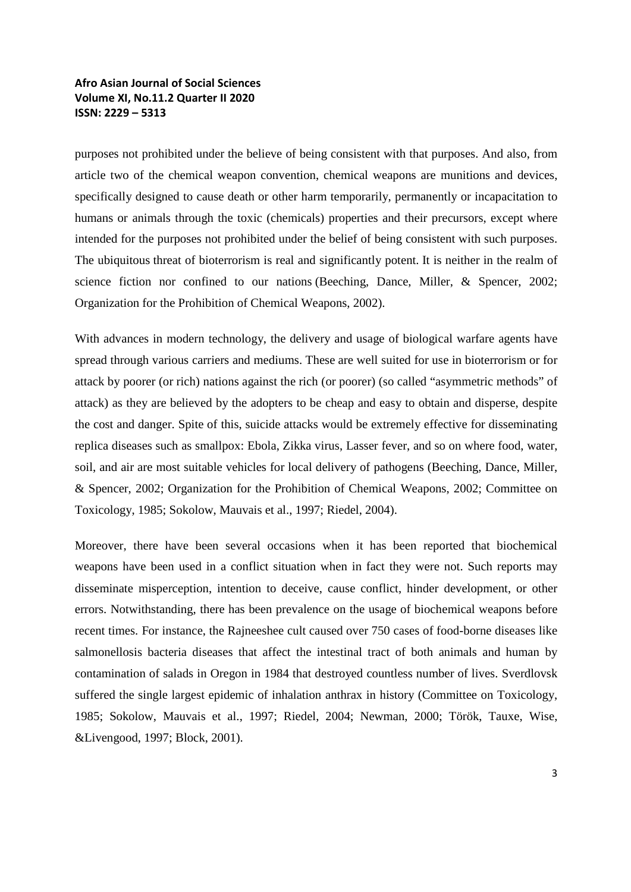purposes not prohibited under the believe of being consistent with that purposes. And also, from article two of the chemical weapon convention, chemical weapons are munitions and devices, specifically designed to cause death or other harm temporarily, permanently or incapacitation to humans or animals through the toxic (chemicals) properties and their precursors, except where intended for the purposes not prohibited under the belief of being consistent with such purposes. The ubiquitous threat of bioterrorism is real and significantly potent. It is neither in the realm of science fiction nor confined to our nations (Beeching, Dance, Miller, & Spencer, 2002; Organization for the Prohibition of Chemical Weapons, 2002).

With advances in modern technology, the delivery and usage of biological warfare agents have spread through various carriers and mediums. These are well suited for use in bioterrorism or for attack by poorer (or rich) nations against the rich (or poorer) (so called "asymmetric methods" of attack) as they are believed by the adopters to be cheap and easy to obtain and disperse, despite the cost and danger. Spite of this, suicide attacks would be extremely effective for disseminating replica diseases such as smallpox: Ebola, Zikka virus, Lasser fever, and so on where food, water, soil, and air are most suitable vehicles for local delivery of pathogens (Beeching, Dance, Miller, & Spencer, 2002; Organization for the Prohibition of Chemical Weapons, 2002; Committee on Toxicology, 1985; Sokolow, Mauvais et al., 1997; Riedel, 2004).

Moreover, there have been several occasions when it has been reported that biochemical weapons have been used in a conflict situation when in fact they were not. Such reports may disseminate misperception, intention to deceive, cause conflict, hinder development, or other errors. Notwithstanding, there has been prevalence on the usage of biochemical weapons before recent times. For instance, the Rajneeshee cult caused over 750 cases of food-borne diseases like salmonellosis bacteria diseases that affect the intestinal tract of both animals and human by contamination of salads in Oregon in 1984 that destroyed countless number of lives. Sverdlovsk suffered the single largest epidemic of inhalation anthrax in history (Committee on Toxicology, 1985; Sokolow, Mauvais et al., 1997; Riedel, 2004; Newman, 2000; Török, Tauxe, Wise, &Livengood, 1997; Block, 2001).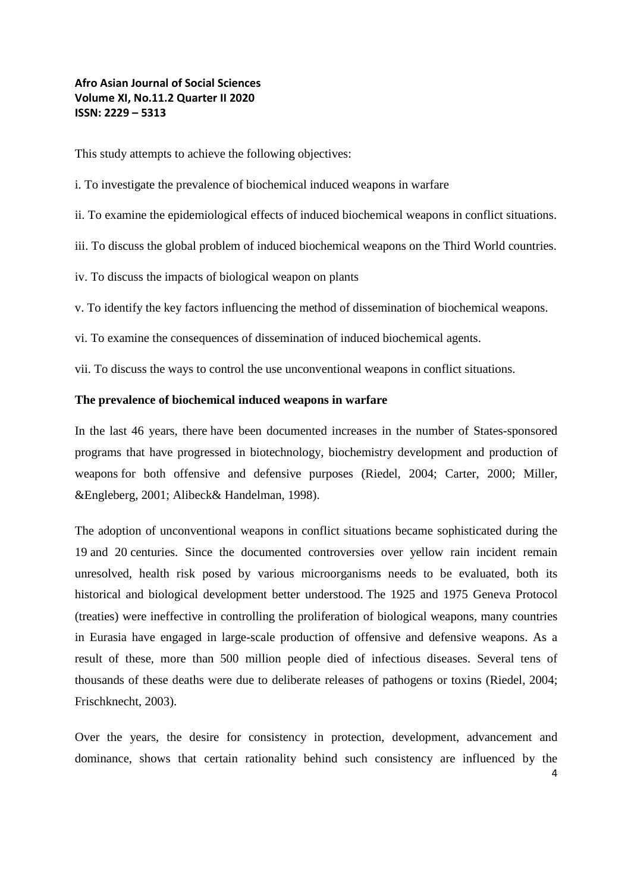This study attempts to achieve the following objectives:

- i. To investigate the prevalence of biochemical induced weapons in warfare
- ii. To examine the epidemiological effects of induced biochemical weapons in conflict situations.
- iii. To discuss the global problem of induced biochemical weapons on the Third World countries.
- iv. To discuss the impacts of biological weapon on plants

v. To identify the key factors influencing the method of dissemination of biochemical weapons.

vi. To examine the consequences of dissemination of induced biochemical agents.

vii. To discuss the ways to control the use unconventional weapons in conflict situations.

#### **The prevalence of biochemical induced weapons in warfare**

In the last 46 years, there have been documented increases in the number of States-sponsored programs that have progressed in biotechnology, biochemistry development and production of weapons for both offensive and defensive purposes (Riedel, 2004; Carter, 2000; Miller, &Engleberg, 2001; Alibeck& Handelman, 1998).

The adoption of unconventional weapons in conflict situations became sophisticated during the 19 and 20 centuries. Since the documented controversies over yellow rain incident remain unresolved, health risk posed by various microorganisms needs to be evaluated, both its historical and biological development better understood. The 1925 and 1975 Geneva Protocol (treaties) were ineffective in controlling the proliferation of biological weapons, many countries in Eurasia have engaged in large-scale production of offensive and defensive weapons. As a result of these, more than 500 million people died of infectious diseases. Several tens of thousands of these deaths were due to deliberate releases of pathogens or toxins (Riedel, 2004; Frischknecht, 2003).

Over the years, the desire for consistency in protection, development, advancement and dominance, shows that certain rationality behind such consistency are influenced by the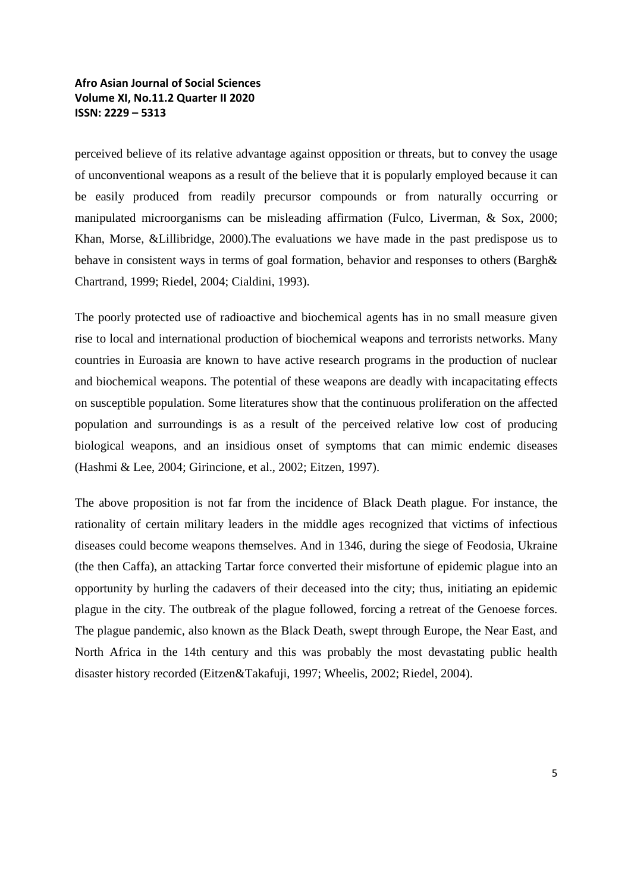perceived believe of its relative advantage against opposition or threats, but to convey the usage of unconventional weapons as a result of the believe that it is popularly employed because it can be easily produced from readily precursor compounds or from naturally occurring or manipulated microorganisms can be misleading affirmation (Fulco, Liverman, & Sox, 2000; Khan, Morse, &Lillibridge, 2000).The evaluations we have made in the past predispose us to behave in consistent ways in terms of goal formation, behavior and responses to others (Bargh& Chartrand, 1999; Riedel, 2004; Cialdini, 1993).

The poorly protected use of radioactive and biochemical agents has in no small measure given rise to local and international production of biochemical weapons and terrorists networks. Many countries in Euroasia are known to have active research programs in the production of nuclear and biochemical weapons. The potential of these weapons are deadly with incapacitating effects on susceptible population. Some literatures show that the continuous proliferation on the affected population and surroundings is as a result of the perceived relative low cost of producing biological weapons, and an insidious onset of symptoms that can mimic endemic diseases (Hashmi & Lee, 2004; Girincione, et al., 2002; Eitzen, 1997).

The above proposition is not far from the incidence of Black Death plague. For instance, the rationality of certain military leaders in the middle ages recognized that victims of infectious diseases could become weapons themselves. And in 1346, during the siege of Feodosia, Ukraine (the then Caffa), an attacking Tartar force converted their misfortune of epidemic plague into an opportunity by hurling the cadavers of their deceased into the city; thus, initiating an epidemic plague in the city. The outbreak of the plague followed, forcing a retreat of the Genoese forces. The plague pandemic, also known as the Black Death, swept through Europe, the Near East, and North Africa in the 14th century and this was probably the most devastating public health disaster history recorded (Eitzen&Takafuji, 1997; Wheelis, 2002; Riedel, 2004).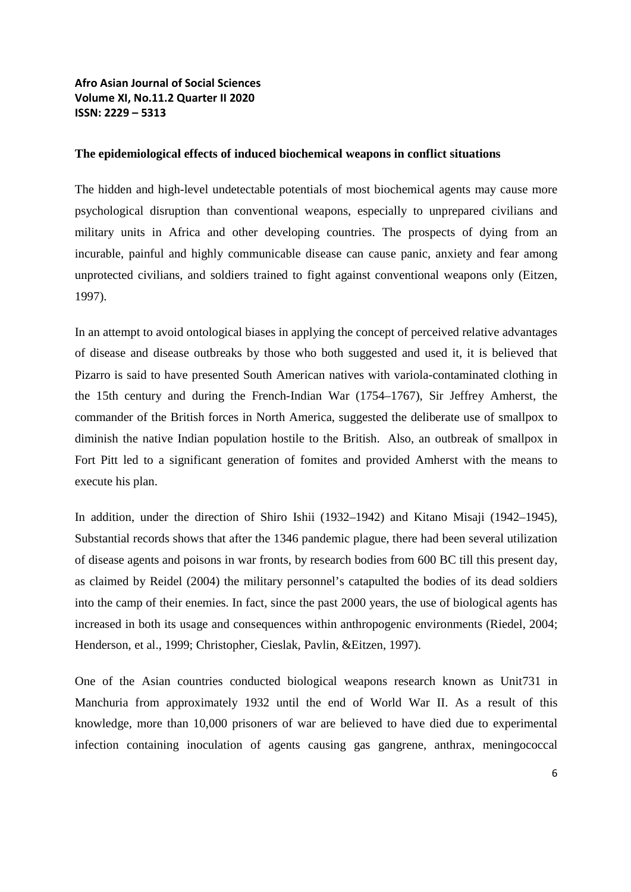#### **The epidemiological effects of induced biochemical weapons in conflict situations**

The hidden and high-level undetectable potentials of most biochemical agents may cause more psychological disruption than conventional weapons, especially to unprepared civilians and military units in Africa and other developing countries. The prospects of dying from an incurable, painful and highly communicable disease can cause panic, anxiety and fear among unprotected civilians, and soldiers trained to fight against conventional weapons only (Eitzen, 1997).

In an attempt to avoid ontological biases in applying the concept of perceived relative advantages of disease and disease outbreaks by those who both suggested and used it, it is believed that Pizarro is said to have presented South American natives with variola-contaminated clothing in the 15th century and during the French-Indian War (1754–1767), Sir Jeffrey Amherst, the commander of the British forces in North America, suggested the deliberate use of smallpox to diminish the native Indian population hostile to the British. Also, an outbreak of smallpox in Fort Pitt led to a significant generation of fomites and provided Amherst with the means to execute his plan.

In addition, under the direction of Shiro Ishii (1932–1942) and Kitano Misaji (1942–1945), Substantial records shows that after the 1346 pandemic plague, there had been several utilization of disease agents and poisons in war fronts, by research bodies from 600 BC till this present day, as claimed by Reidel (2004) the military personnel's catapulted the bodies of its dead soldiers into the camp of their enemies. In fact, since the past 2000 years, the use of biological agents has increased in both its usage and consequences within anthropogenic environments (Riedel, 2004; Henderson, et al., 1999; Christopher, Cieslak, Pavlin, &Eitzen, 1997).

One of the Asian countries conducted biological weapons research known as Unit731 in Manchuria from approximately 1932 until the end of World War II. As a result of this knowledge, more than 10,000 prisoners of war are believed to have died due to experimental infection containing inoculation of agents causing gas gangrene, anthrax, meningococcal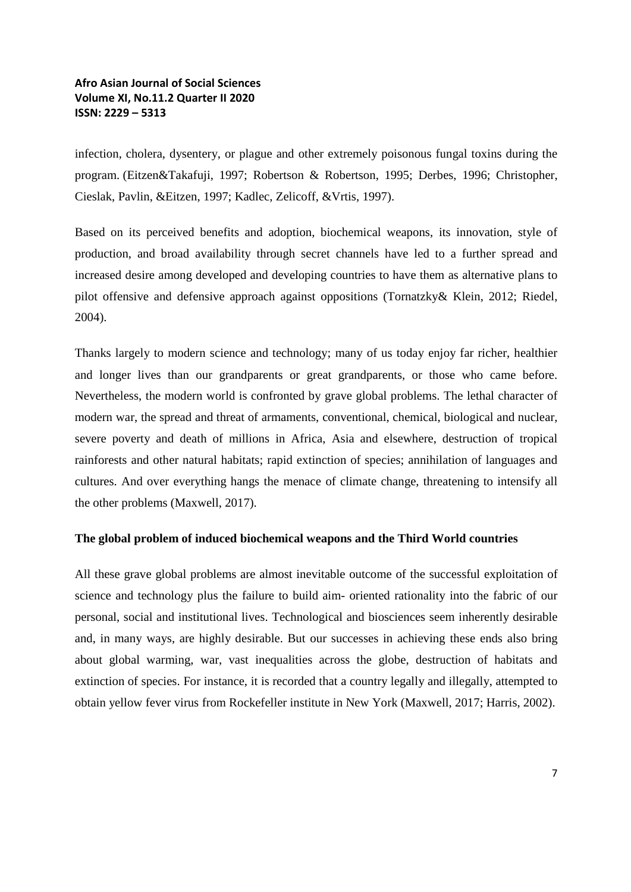infection, cholera, dysentery, or plague and other extremely poisonous fungal toxins during the program. (Eitzen&Takafuji, 1997; Robertson & Robertson, 1995; Derbes, 1996; Christopher, Cieslak, Pavlin, &Eitzen, 1997; Kadlec, Zelicoff, &Vrtis, 1997).

Based on its perceived benefits and adoption, biochemical weapons, its innovation, style of production, and broad availability through secret channels have led to a further spread and increased desire among developed and developing countries to have them as alternative plans to pilot offensive and defensive approach against oppositions (Tornatzky& Klein, 2012; Riedel, 2004).

Thanks largely to modern science and technology; many of us today enjoy far richer, healthier and longer lives than our grandparents or great grandparents, or those who came before. Nevertheless, the modern world is confronted by grave global problems. The lethal character of modern war, the spread and threat of armaments, conventional, chemical, biological and nuclear, severe poverty and death of millions in Africa, Asia and elsewhere, destruction of tropical rainforests and other natural habitats; rapid extinction of species; annihilation of languages and cultures. And over everything hangs the menace of climate change, threatening to intensify all the other problems (Maxwell, 2017).

#### **The global problem of induced biochemical weapons and the Third World countries**

All these grave global problems are almost inevitable outcome of the successful exploitation of science and technology plus the failure to build aim- oriented rationality into the fabric of our personal, social and institutional lives. Technological and biosciences seem inherently desirable and, in many ways, are highly desirable. But our successes in achieving these ends also bring about global warming, war, vast inequalities across the globe, destruction of habitats and extinction of species. For instance, it is recorded that a country legally and illegally, attempted to obtain yellow fever virus from Rockefeller institute in New York (Maxwell, 2017; Harris, 2002).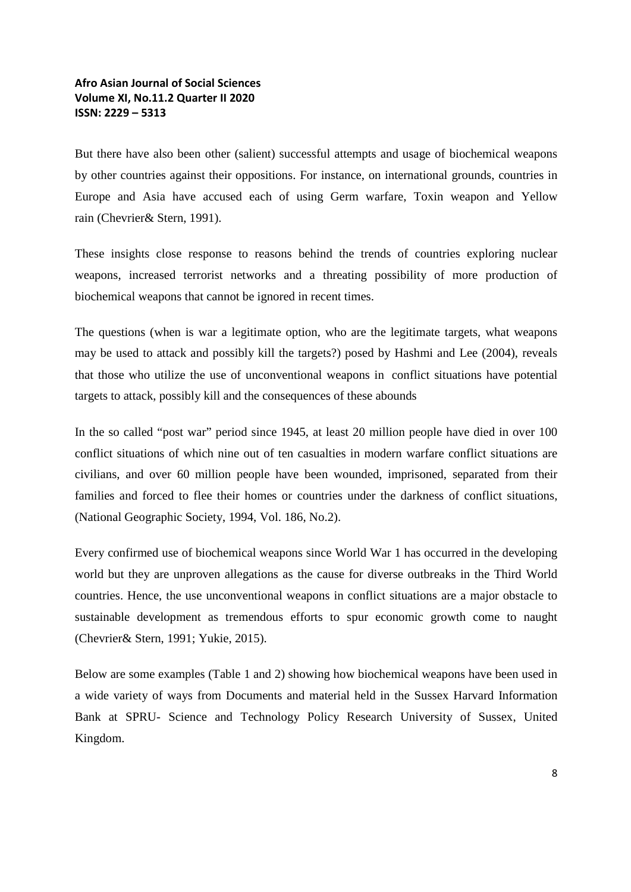But there have also been other (salient) successful attempts and usage of biochemical weapons by other countries against their oppositions. For instance, on international grounds, countries in Europe and Asia have accused each of using Germ warfare, Toxin weapon and Yellow rain (Chevrier& Stern, 1991).

These insights close response to reasons behind the trends of countries exploring nuclear weapons, increased terrorist networks and a threating possibility of more production of biochemical weapons that cannot be ignored in recent times.

The questions (when is war a legitimate option, who are the legitimate targets, what weapons may be used to attack and possibly kill the targets?) posed by Hashmi and Lee (2004), reveals that those who utilize the use of unconventional weapons in conflict situations have potential targets to attack, possibly kill and the consequences of these abounds

In the so called "post war" period since 1945, at least 20 million people have died in over 100 conflict situations of which nine out of ten casualties in modern warfare conflict situations are civilians, and over 60 million people have been wounded, imprisoned, separated from their families and forced to flee their homes or countries under the darkness of conflict situations, (National Geographic Society, 1994, Vol. 186, No.2).

Every confirmed use of biochemical weapons since World War 1 has occurred in the developing world but they are unproven allegations as the cause for diverse outbreaks in the Third World countries. Hence, the use unconventional weapons in conflict situations are a major obstacle to sustainable development as tremendous efforts to spur economic growth come to naught (Chevrier& Stern, 1991; Yukie, 2015).

Below are some examples (Table 1 and 2) showing how biochemical weapons have been used in a wide variety of ways from Documents and material held in the Sussex Harvard Information Bank at SPRU- Science and Technology Policy Research University of Sussex, United Kingdom.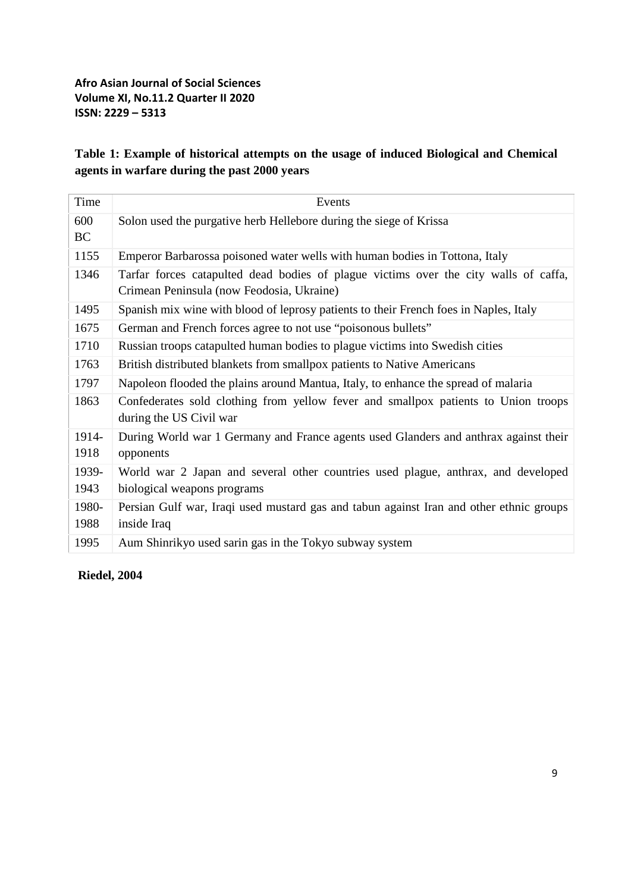# **Table 1: Example of historical attempts on the usage of induced Biological and Chemical agents in warfare during the past 2000 years**

| Time             | Events                                                                                                                            |
|------------------|-----------------------------------------------------------------------------------------------------------------------------------|
| 600<br><b>BC</b> | Solon used the purgative herb Hellebore during the siege of Krissa                                                                |
| 1155             | Emperor Barbarossa poisoned water wells with human bodies in Tottona, Italy                                                       |
| 1346             | Tarfar forces catapulted dead bodies of plague victims over the city walls of caffa,<br>Crimean Peninsula (now Feodosia, Ukraine) |
| 1495             | Spanish mix wine with blood of leprosy patients to their French foes in Naples, Italy                                             |
| 1675             | German and French forces agree to not use "poisonous bullets"                                                                     |
| 1710             | Russian troops catapulted human bodies to plague victims into Swedish cities                                                      |
| 1763             | British distributed blankets from smallpox patients to Native Americans                                                           |
| 1797             | Napoleon flooded the plains around Mantua, Italy, to enhance the spread of malaria                                                |
| 1863             | Confederates sold clothing from yellow fever and smallpox patients to Union troops<br>during the US Civil war                     |
| 1914-<br>1918    | During World war 1 Germany and France agents used Glanders and anthrax against their<br>opponents                                 |
| 1939-<br>1943    | World war 2 Japan and several other countries used plague, anthrax, and developed<br>biological weapons programs                  |
| 1980-<br>1988    | Persian Gulf war, Iraqi used mustard gas and tabun against Iran and other ethnic groups<br>inside Iraq                            |
| 1995             | Aum Shinrikyo used sarin gas in the Tokyo subway system                                                                           |

**Riedel, 2004**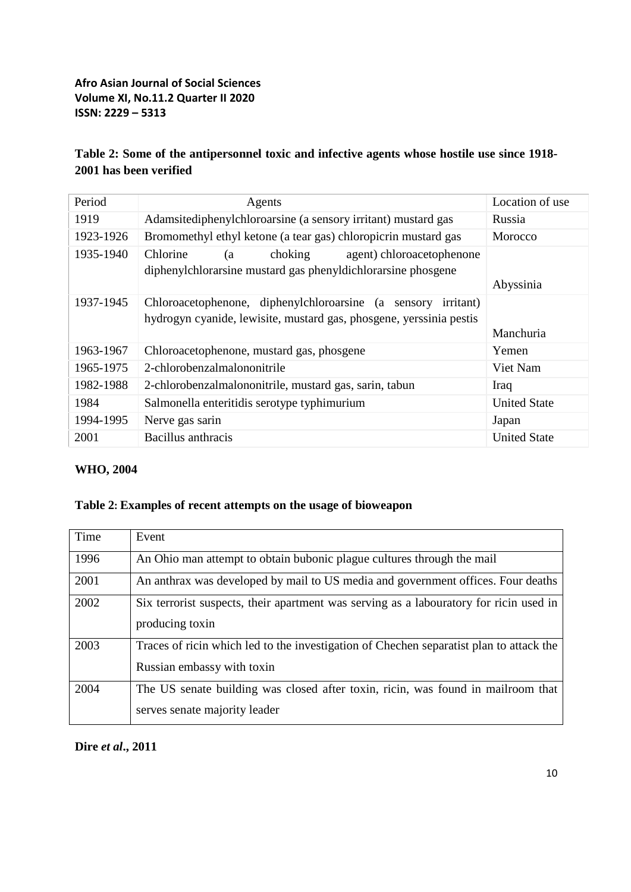# **Table 2: Some of the antipersonnel toxic and infective agents whose hostile use since 1918- 2001 has been verified**

| Period<br>Location of use<br>Agents<br>1919<br>Adamsitediphenylchloroarsine (a sensory irritant) mustard gas<br>Russia<br>1923-1926<br>Bromomethyl ethyl ketone (a tear gas) chloropicrin mustard gas<br>Morocco<br>1935-1940<br>Chlorine<br>choking<br>agent) chloroacetophenone<br>(a<br>diphenylchlorarsine mustard gas phenyldichlorarsine phosgene<br>Abyssinia<br>1937-1945<br>Chloroacetophenone, diphenylchloroarsine (a sensory<br><i>irritant</i> )<br>hydrogyn cyanide, lewisite, mustard gas, phosgene, yerssinia pestis<br>Manchuria<br>1963-1967<br>Chloroacetophenone, mustard gas, phosgene<br>Yemen<br>1965-1975<br>2-chlorobenzalmalononitrile<br>Viet Nam<br>1982-1988<br>2-chlorobenzalmalononitrile, mustard gas, sarin, tabun<br>Iraq<br>1984<br>Salmonella enteritidis serotype typhimurium<br><b>United State</b><br>1994-1995<br>Nerve gas sarin<br>Japan<br>2001<br>Bacillus anthracis<br><b>United State</b> |  |  |
|-----------------------------------------------------------------------------------------------------------------------------------------------------------------------------------------------------------------------------------------------------------------------------------------------------------------------------------------------------------------------------------------------------------------------------------------------------------------------------------------------------------------------------------------------------------------------------------------------------------------------------------------------------------------------------------------------------------------------------------------------------------------------------------------------------------------------------------------------------------------------------------------------------------------------------------------|--|--|
|                                                                                                                                                                                                                                                                                                                                                                                                                                                                                                                                                                                                                                                                                                                                                                                                                                                                                                                                         |  |  |
|                                                                                                                                                                                                                                                                                                                                                                                                                                                                                                                                                                                                                                                                                                                                                                                                                                                                                                                                         |  |  |
|                                                                                                                                                                                                                                                                                                                                                                                                                                                                                                                                                                                                                                                                                                                                                                                                                                                                                                                                         |  |  |
|                                                                                                                                                                                                                                                                                                                                                                                                                                                                                                                                                                                                                                                                                                                                                                                                                                                                                                                                         |  |  |
|                                                                                                                                                                                                                                                                                                                                                                                                                                                                                                                                                                                                                                                                                                                                                                                                                                                                                                                                         |  |  |
|                                                                                                                                                                                                                                                                                                                                                                                                                                                                                                                                                                                                                                                                                                                                                                                                                                                                                                                                         |  |  |
|                                                                                                                                                                                                                                                                                                                                                                                                                                                                                                                                                                                                                                                                                                                                                                                                                                                                                                                                         |  |  |
|                                                                                                                                                                                                                                                                                                                                                                                                                                                                                                                                                                                                                                                                                                                                                                                                                                                                                                                                         |  |  |
|                                                                                                                                                                                                                                                                                                                                                                                                                                                                                                                                                                                                                                                                                                                                                                                                                                                                                                                                         |  |  |
|                                                                                                                                                                                                                                                                                                                                                                                                                                                                                                                                                                                                                                                                                                                                                                                                                                                                                                                                         |  |  |
|                                                                                                                                                                                                                                                                                                                                                                                                                                                                                                                                                                                                                                                                                                                                                                                                                                                                                                                                         |  |  |

# **WHO, 2004**

## **Table 2: Examples of recent attempts on the usage of bioweapon**

| Time | Event                                                                                   |
|------|-----------------------------------------------------------------------------------------|
| 1996 | An Ohio man attempt to obtain bubonic plague cultures through the mail                  |
| 2001 | An anthrax was developed by mail to US media and government offices. Four deaths        |
| 2002 | Six terrorist suspects, their apartment was serving as a labouratory for ricin used in  |
|      | producing toxin                                                                         |
| 2003 | Traces of ricin which led to the investigation of Chechen separatist plan to attack the |
|      | Russian embassy with toxin                                                              |
| 2004 | The US senate building was closed after toxin, ricin, was found in mailroom that        |
|      | serves senate majority leader                                                           |

# **Dire** *et al***., 2011**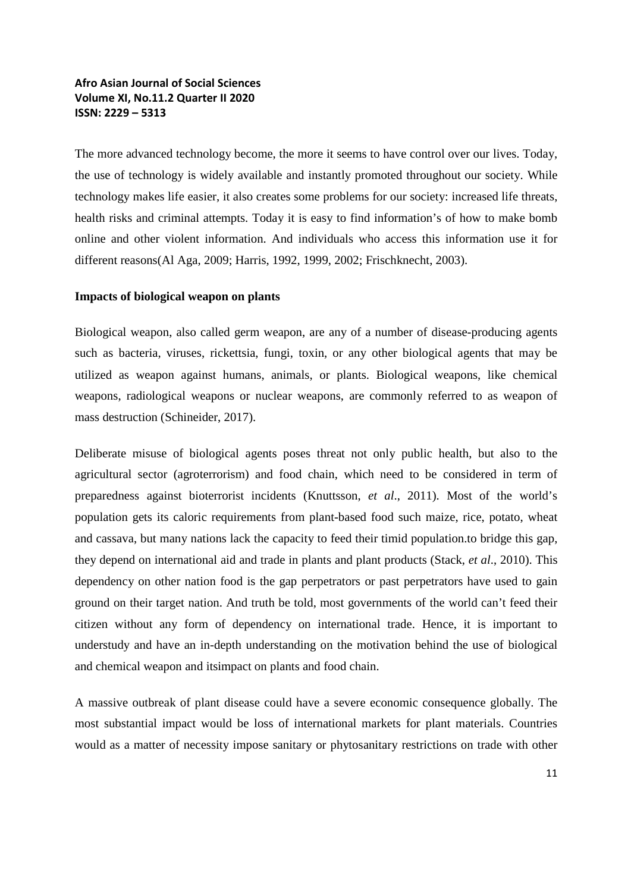The more advanced technology become, the more it seems to have control over our lives. Today, the use of technology is widely available and instantly promoted throughout our society. While technology makes life easier, it also creates some problems for our society: increased life threats, health risks and criminal attempts. Today it is easy to find information's of how to make bomb online and other violent information. And individuals who access this information use it for different reasons(Al Aga, 2009; Harris, 1992, 1999, 2002; Frischknecht, 2003).

#### **Impacts of biological weapon on plants**

Biological weapon, also called germ weapon, are any of a number of disease-producing agents such as bacteria, viruses, rickettsia, fungi, toxin, or any other biological agents that may be utilized as weapon against humans, animals, or plants. Biological weapons, like chemical weapons, radiological weapons or nuclear weapons, are commonly referred to as weapon of mass destruction (Schineider, 2017).

Deliberate misuse of biological agents poses threat not only public health, but also to the agricultural sector (agroterrorism) and food chain, which need to be considered in term of preparedness against bioterrorist incidents (Knuttsson, *et al*., 2011). Most of the world's population gets its caloric requirements from plant-based food such maize, rice, potato, wheat and cassava, but many nations lack the capacity to feed their timid population.to bridge this gap, they depend on international aid and trade in plants and plant products (Stack, *et al*., 2010). This dependency on other nation food is the gap perpetrators or past perpetrators have used to gain ground on their target nation. And truth be told, most governments of the world can't feed their citizen without any form of dependency on international trade. Hence, it is important to understudy and have an in-depth understanding on the motivation behind the use of biological and chemical weapon and itsimpact on plants and food chain.

A massive outbreak of plant disease could have a severe economic consequence globally. The most substantial impact would be loss of international markets for plant materials. Countries would as a matter of necessity impose sanitary or phytosanitary restrictions on trade with other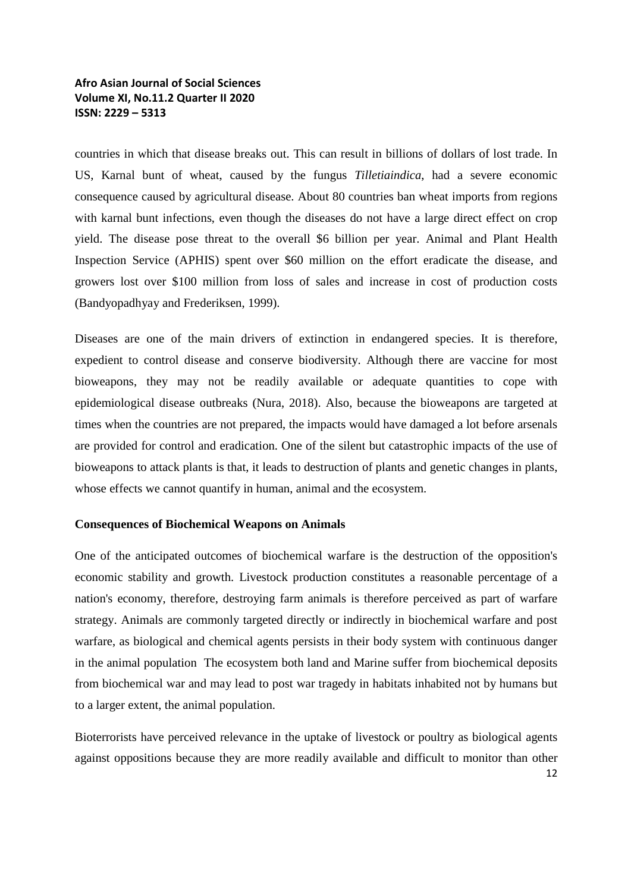countries in which that disease breaks out. This can result in billions of dollars of lost trade. In US, Karnal bunt of wheat, caused by the fungus *Tilletiaindica*, had a severe economic consequence caused by agricultural disease. About 80 countries ban wheat imports from regions with karnal bunt infections, even though the diseases do not have a large direct effect on crop yield. The disease pose threat to the overall \$6 billion per year. Animal and Plant Health Inspection Service (APHIS) spent over \$60 million on the effort eradicate the disease, and growers lost over \$100 million from loss of sales and increase in cost of production costs (Bandyopadhyay and Frederiksen, 1999).

Diseases are one of the main drivers of extinction in endangered species. It is therefore, expedient to control disease and conserve biodiversity. Although there are vaccine for most bioweapons, they may not be readily available or adequate quantities to cope with epidemiological disease outbreaks (Nura, 2018). Also, because the bioweapons are targeted at times when the countries are not prepared, the impacts would have damaged a lot before arsenals are provided for control and eradication. One of the silent but catastrophic impacts of the use of bioweapons to attack plants is that, it leads to destruction of plants and genetic changes in plants, whose effects we cannot quantify in human, animal and the ecosystem.

#### **Consequences of Biochemical Weapons on Animals**

One of the anticipated outcomes of biochemical warfare is the destruction of the opposition's economic stability and growth. Livestock production constitutes a reasonable percentage of a nation's economy, therefore, destroying farm animals is therefore perceived as part of warfare strategy. Animals are commonly targeted directly or indirectly in biochemical warfare and post warfare, as biological and chemical agents persists in their body system with continuous danger in the animal population The ecosystem both land and Marine suffer from biochemical deposits from biochemical war and may lead to post war tragedy in habitats inhabited not by humans but to a larger extent, the animal population.

Bioterrorists have perceived relevance in the uptake of livestock or poultry as biological agents against oppositions because they are more readily available and difficult to monitor than other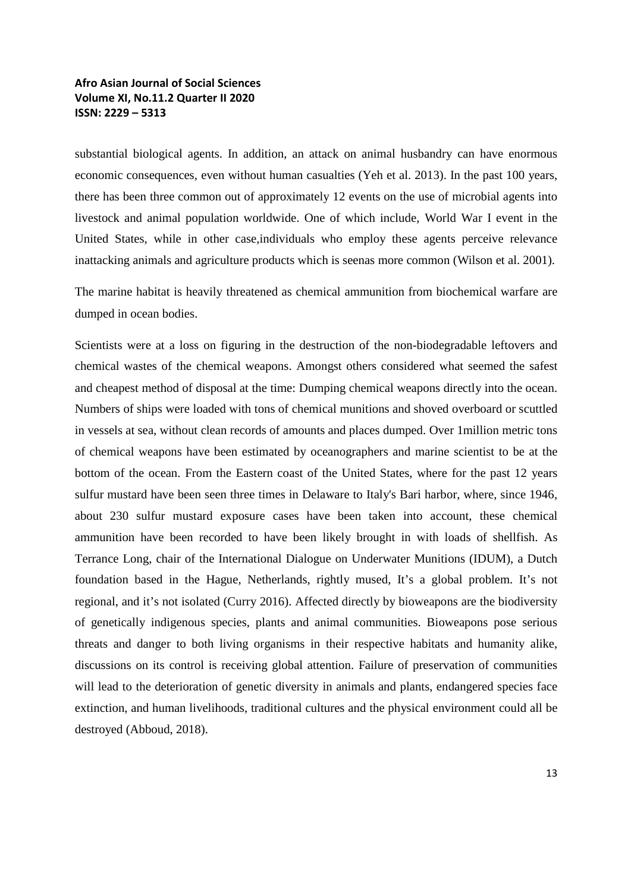substantial biological agents. In addition, an attack on animal husbandry can have enormous economic consequences, even without human casualties (Yeh et al. 2013). In the past 100 years, there has been three common out of approximately 12 events on the use of microbial agents into livestock and animal population worldwide. One of which include, World War I event in the United States, while in other case,individuals who employ these agents perceive relevance inattacking animals and agriculture products which is seenas more common (Wilson et al. 2001).

The marine habitat is heavily threatened as chemical ammunition from biochemical warfare are dumped in ocean bodies.

Scientists were at a loss on figuring in the destruction of the non-biodegradable leftovers and chemical wastes of the chemical weapons. Amongst others considered what seemed the safest and cheapest method of disposal at the time: Dumping chemical weapons directly into the ocean. Numbers of ships were loaded with tons of chemical munitions and shoved overboard or scuttled in vessels at sea, without clean records of amounts and places dumped. Over 1million metric tons of chemical weapons have been estimated by oceanographers and marine scientist to be at the bottom of the ocean. From the Eastern coast of the United States, where for the past 12 years sulfur mustard have been seen three times in Delaware to Italy's Bari harbor, where, since 1946, about 230 sulfur mustard exposure cases have been taken into account, these chemical ammunition have been recorded to have been likely brought in with loads of shellfish. As Terrance Long, chair of the International Dialogue on Underwater Munitions (IDUM), a Dutch foundation based in the Hague, Netherlands, rightly mused, It's a global problem. It's not regional, and it's not isolated (Curry 2016). Affected directly by bioweapons are the biodiversity of genetically indigenous species, plants and animal communities. Bioweapons pose serious threats and danger to both living organisms in their respective habitats and humanity alike, discussions on its control is receiving global attention. Failure of preservation of communities will lead to the deterioration of genetic diversity in animals and plants, endangered species face extinction, and human livelihoods, traditional cultures and the physical environment could all be destroyed (Abboud, 2018).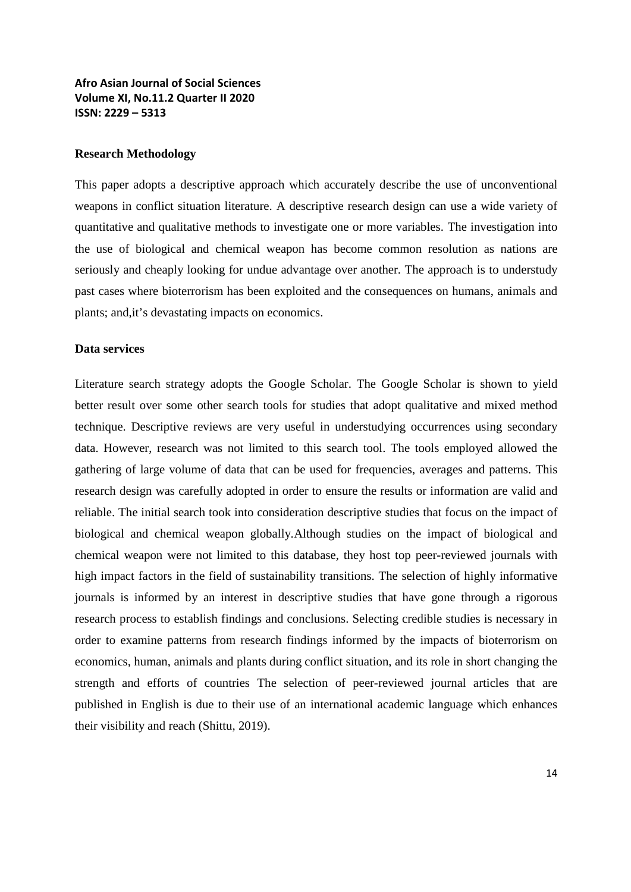#### **Research Methodology**

This paper adopts a descriptive approach which accurately describe the use of unconventional weapons in conflict situation literature. A descriptive research design can use a wide variety of quantitative and qualitative methods to investigate one or more variables. The investigation into the use of biological and chemical weapon has become common resolution as nations are seriously and cheaply looking for undue advantage over another. The approach is to understudy past cases where bioterrorism has been exploited and the consequences on humans, animals and plants; and,it's devastating impacts on economics.

#### **Data services**

Literature search strategy adopts the Google Scholar. The Google Scholar is shown to yield better result over some other search tools for studies that adopt qualitative and mixed method technique. Descriptive reviews are very useful in understudying occurrences using secondary data. However, research was not limited to this search tool. The tools employed allowed the gathering of large volume of data that can be used for frequencies, averages and patterns. This research design was carefully adopted in order to ensure the results or information are valid and reliable. The initial search took into consideration descriptive studies that focus on the impact of biological and chemical weapon globally.Although studies on the impact of biological and chemical weapon were not limited to this database, they host top peer-reviewed journals with high impact factors in the field of sustainability transitions. The selection of highly informative journals is informed by an interest in descriptive studies that have gone through a rigorous research process to establish findings and conclusions. Selecting credible studies is necessary in order to examine patterns from research findings informed by the impacts of bioterrorism on economics, human, animals and plants during conflict situation, and its role in short changing the strength and efforts of countries The selection of peer-reviewed journal articles that are published in English is due to their use of an international academic language which enhances their visibility and reach (Shittu, 2019).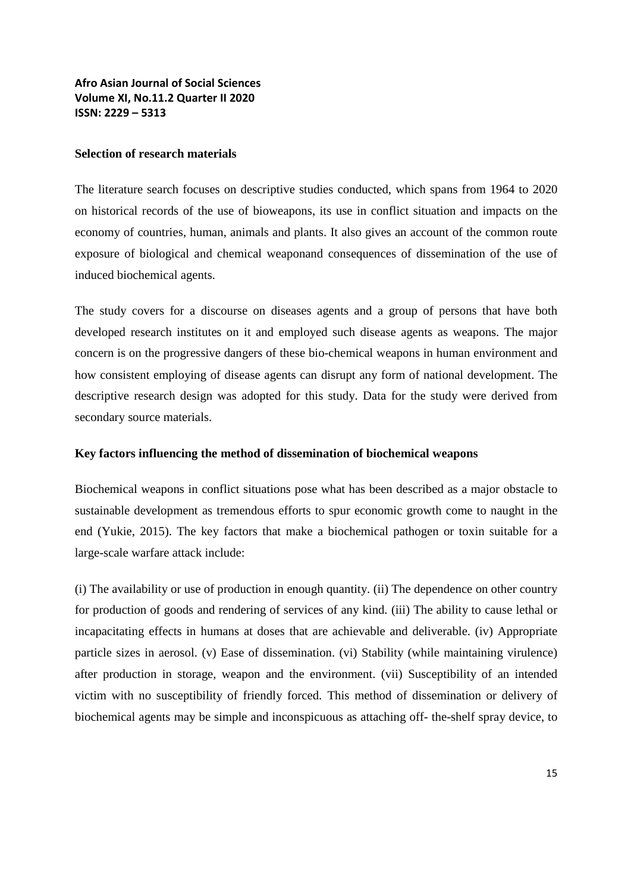#### **Selection of research materials**

The literature search focuses on descriptive studies conducted, which spans from 1964 to 2020 on historical records of the use of bioweapons, its use in conflict situation and impacts on the economy of countries, human, animals and plants. It also gives an account of the common route exposure of biological and chemical weaponand consequences of dissemination of the use of induced biochemical agents.

The study covers for a discourse on diseases agents and a group of persons that have both developed research institutes on it and employed such disease agents as weapons. The major concern is on the progressive dangers of these bio-chemical weapons in human environment and how consistent employing of disease agents can disrupt any form of national development. The descriptive research design was adopted for this study. Data for the study were derived from secondary source materials.

#### **Key factors influencing the method of dissemination of biochemical weapons**

Biochemical weapons in conflict situations pose what has been described as a major obstacle to sustainable development as tremendous efforts to spur economic growth come to naught in the end (Yukie, 2015). The key factors that make a biochemical pathogen or toxin suitable for a large-scale warfare attack include:

(i) The availability or use of production in enough quantity. (ii) The dependence on other country for production of goods and rendering of services of any kind. (iii) The ability to cause lethal or incapacitating effects in humans at doses that are achievable and deliverable. (iv) Appropriate particle sizes in aerosol. (v) Ease of dissemination. (vi) Stability (while maintaining virulence) after production in storage, weapon and the environment. (vii) Susceptibility of an intended victim with no susceptibility of friendly forced. This method of dissemination or delivery of biochemical agents may be simple and inconspicuous as attaching off- the-shelf spray device, to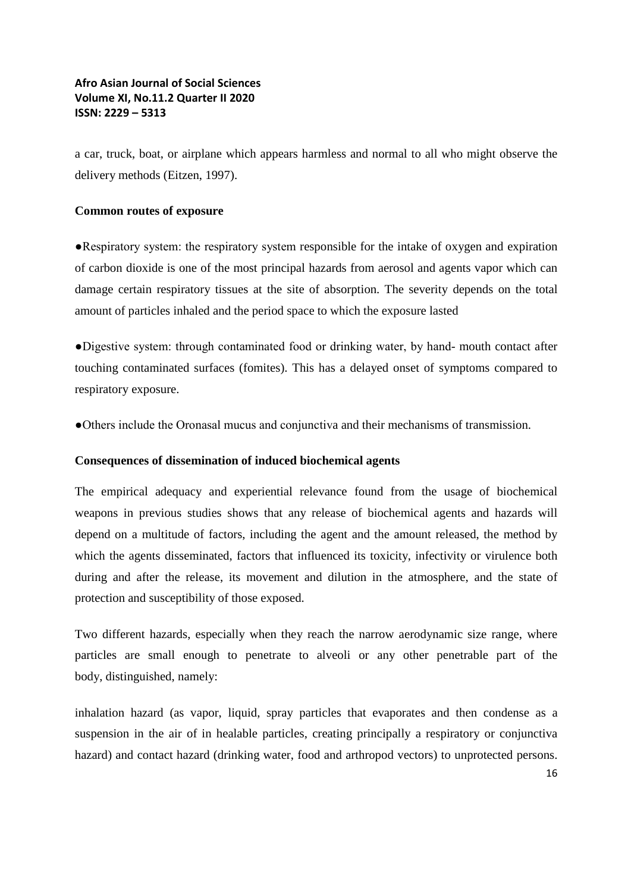a car, truck, boat, or airplane which appears harmless and normal to all who might observe the delivery methods (Eitzen, 1997).

#### **Common routes of exposure**

●Respiratory system: the respiratory system responsible for the intake of oxygen and expiration of carbon dioxide is one of the most principal hazards from aerosol and agents vapor which can damage certain respiratory tissues at the site of absorption. The severity depends on the total amount of particles inhaled and the period space to which the exposure lasted

●Digestive system: through contaminated food or drinking water, by hand- mouth contact after touching contaminated surfaces (fomites). This has a delayed onset of symptoms compared to respiratory exposure.

●Others include the Oronasal mucus and conjunctiva and their mechanisms of transmission.

#### **Consequences of dissemination of induced biochemical agents**

The empirical adequacy and experiential relevance found from the usage of biochemical weapons in previous studies shows that any release of biochemical agents and hazards will depend on a multitude of factors, including the agent and the amount released, the method by which the agents disseminated, factors that influenced its toxicity, infectivity or virulence both during and after the release, its movement and dilution in the atmosphere, and the state of protection and susceptibility of those exposed.

Two different hazards, especially when they reach the narrow aerodynamic size range, where particles are small enough to penetrate to alveoli or any other penetrable part of the body, distinguished, namely:

inhalation hazard (as vapor, liquid, spray particles that evaporates and then condense as a suspension in the air of in healable particles, creating principally a respiratory or conjunctiva hazard) and contact hazard (drinking water, food and arthropod vectors) to unprotected persons.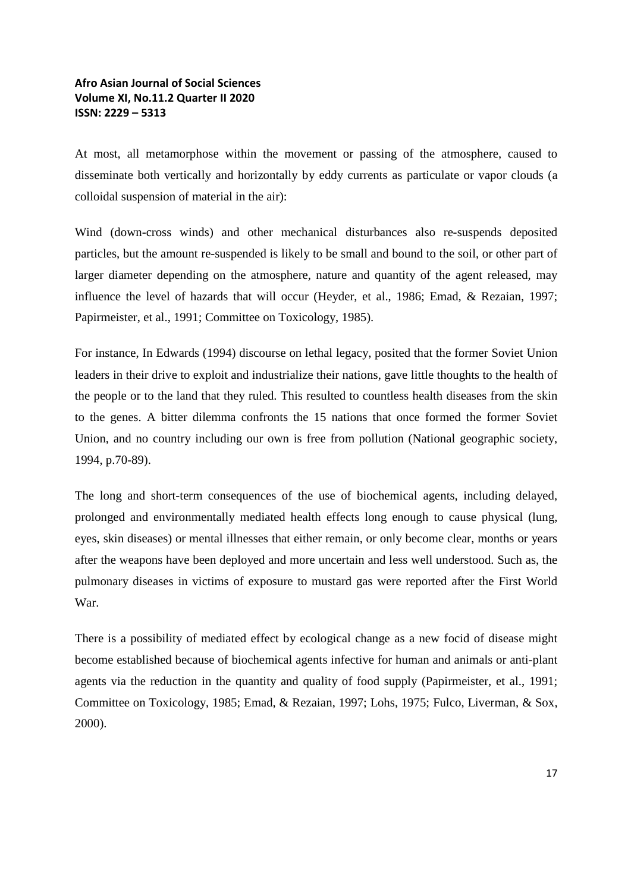At most, all metamorphose within the movement or passing of the atmosphere, caused to disseminate both vertically and horizontally by eddy currents as particulate or vapor clouds (a colloidal suspension of material in the air):

Wind (down-cross winds) and other mechanical disturbances also re-suspends deposited particles, but the amount re-suspended is likely to be small and bound to the soil, or other part of larger diameter depending on the atmosphere, nature and quantity of the agent released, may influence the level of hazards that will occur (Heyder, et al., 1986; Emad, & Rezaian, 1997; Papirmeister, et al., 1991; Committee on Toxicology, 1985).

For instance, In Edwards (1994) discourse on lethal legacy, posited that the former Soviet Union leaders in their drive to exploit and industrialize their nations, gave little thoughts to the health of the people or to the land that they ruled. This resulted to countless health diseases from the skin to the genes. A bitter dilemma confronts the 15 nations that once formed the former Soviet Union, and no country including our own is free from pollution (National geographic society, 1994, p.70-89).

The long and short-term consequences of the use of biochemical agents, including delayed, prolonged and environmentally mediated health effects long enough to cause physical (lung, eyes, skin diseases) or mental illnesses that either remain, or only become clear, months or years after the weapons have been deployed and more uncertain and less well understood. Such as, the pulmonary diseases in victims of exposure to mustard gas were reported after the First World War.

There is a possibility of mediated effect by ecological change as a new focid of disease might become established because of biochemical agents infective for human and animals or anti-plant agents via the reduction in the quantity and quality of food supply (Papirmeister, et al., 1991; Committee on Toxicology, 1985; Emad, & Rezaian, 1997; Lohs, 1975; Fulco, Liverman, & Sox, 2000).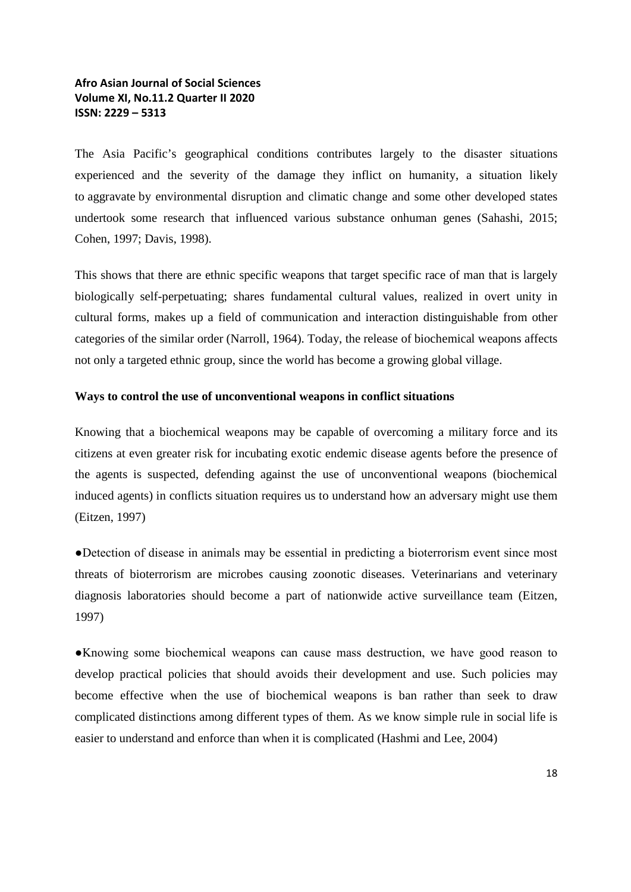The Asia Pacific's geographical conditions contributes largely to the disaster situations experienced and the severity of the damage they inflict on humanity, a situation likely to aggravate by environmental disruption and climatic change and some other developed states undertook some research that influenced various substance onhuman genes (Sahashi, 2015; Cohen, 1997; Davis, 1998).

This shows that there are ethnic specific weapons that target specific race of man that is largely biologically self-perpetuating; shares fundamental cultural values, realized in overt unity in cultural forms, makes up a field of communication and interaction distinguishable from other categories of the similar order (Narroll, 1964). Today, the release of biochemical weapons affects not only a targeted ethnic group, since the world has become a growing global village.

#### **Ways to control the use of unconventional weapons in conflict situations**

Knowing that a biochemical weapons may be capable of overcoming a military force and its citizens at even greater risk for incubating exotic endemic disease agents before the presence of the agents is suspected, defending against the use of unconventional weapons (biochemical induced agents) in conflicts situation requires us to understand how an adversary might use them (Eitzen, 1997)

●Detection of disease in animals may be essential in predicting a bioterrorism event since most threats of bioterrorism are microbes causing zoonotic diseases. Veterinarians and veterinary diagnosis laboratories should become a part of nationwide active surveillance team (Eitzen, 1997)

●Knowing some biochemical weapons can cause mass destruction, we have good reason to develop practical policies that should avoids their development and use. Such policies may become effective when the use of biochemical weapons is ban rather than seek to draw complicated distinctions among different types of them. As we know simple rule in social life is easier to understand and enforce than when it is complicated (Hashmi and Lee, 2004)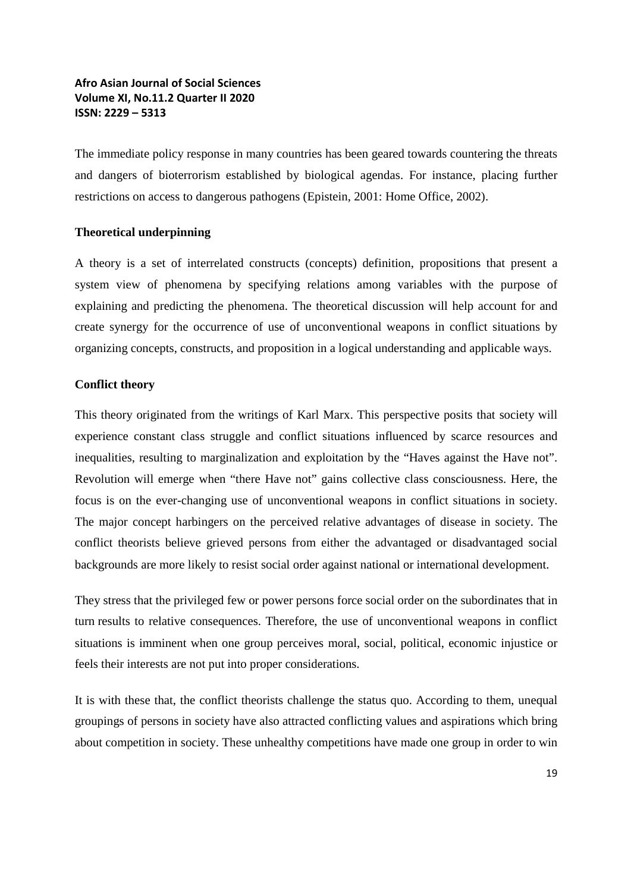The immediate policy response in many countries has been geared towards countering the threats and dangers of bioterrorism established by biological agendas. For instance, placing further restrictions on access to dangerous pathogens (Epistein, 2001: Home Office, 2002).

#### **Theoretical underpinning**

A theory is a set of interrelated constructs (concepts) definition, propositions that present a system view of phenomena by specifying relations among variables with the purpose of explaining and predicting the phenomena. The theoretical discussion will help account for and create synergy for the occurrence of use of unconventional weapons in conflict situations by organizing concepts, constructs, and proposition in a logical understanding and applicable ways.

#### **Conflict theory**

This theory originated from the writings of Karl Marx. This perspective posits that society will experience constant class struggle and conflict situations influenced by scarce resources and inequalities, resulting to marginalization and exploitation by the "Haves against the Have not". Revolution will emerge when "there Have not" gains collective class consciousness. Here, the focus is on the ever-changing use of unconventional weapons in conflict situations in society. The major concept harbingers on the perceived relative advantages of disease in society. The conflict theorists believe grieved persons from either the advantaged or disadvantaged social backgrounds are more likely to resist social order against national or international development.

They stress that the privileged few or power persons force social order on the subordinates that in turn results to relative consequences. Therefore, the use of unconventional weapons in conflict situations is imminent when one group perceives moral, social, political, economic injustice or feels their interests are not put into proper considerations.

It is with these that, the conflict theorists challenge the status quo. According to them, unequal groupings of persons in society have also attracted conflicting values and aspirations which bring about competition in society. These unhealthy competitions have made one group in order to win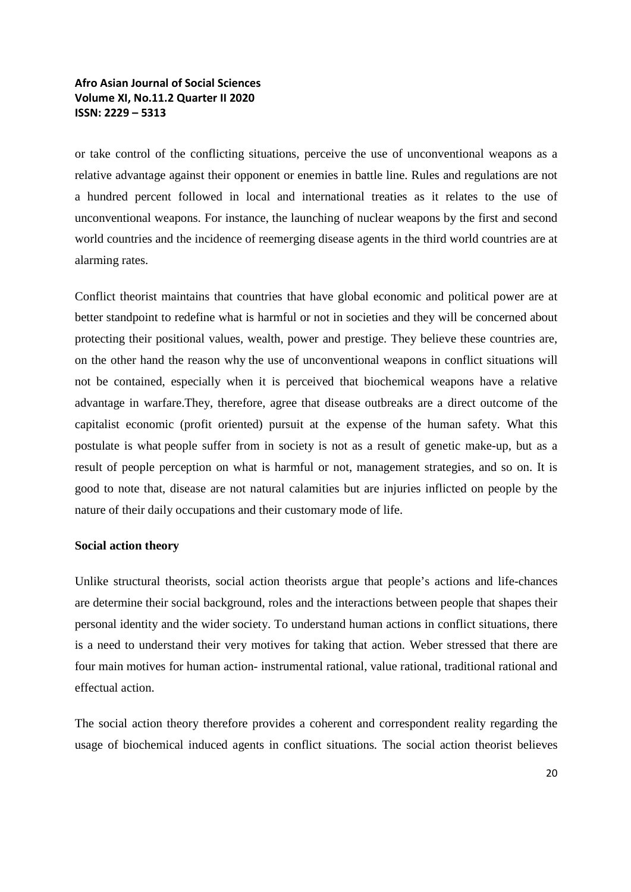or take control of the conflicting situations, perceive the use of unconventional weapons as a relative advantage against their opponent or enemies in battle line. Rules and regulations are not a hundred percent followed in local and international treaties as it relates to the use of unconventional weapons. For instance, the launching of nuclear weapons by the first and second world countries and the incidence of reemerging disease agents in the third world countries are at alarming rates.

Conflict theorist maintains that countries that have global economic and political power are at better standpoint to redefine what is harmful or not in societies and they will be concerned about protecting their positional values, wealth, power and prestige. They believe these countries are, on the other hand the reason why the use of unconventional weapons in conflict situations will not be contained, especially when it is perceived that biochemical weapons have a relative advantage in warfare.They, therefore, agree that disease outbreaks are a direct outcome of the capitalist economic (profit oriented) pursuit at the expense of the human safety. What this postulate is what people suffer from in society is not as a result of genetic make-up, but as a result of people perception on what is harmful or not, management strategies, and so on. It is good to note that, disease are not natural calamities but are injuries inflicted on people by the nature of their daily occupations and their customary mode of life.

#### **Social action theory**

Unlike structural theorists, social action theorists argue that people's actions and life-chances are determine their social background, roles and the interactions between people that shapes their personal identity and the wider society. To understand human actions in conflict situations, there is a need to understand their very motives for taking that action. Weber stressed that there are four main motives for human action- instrumental rational, value rational, traditional rational and effectual action.

The social action theory therefore provides a coherent and correspondent reality regarding the usage of biochemical induced agents in conflict situations. The social action theorist believes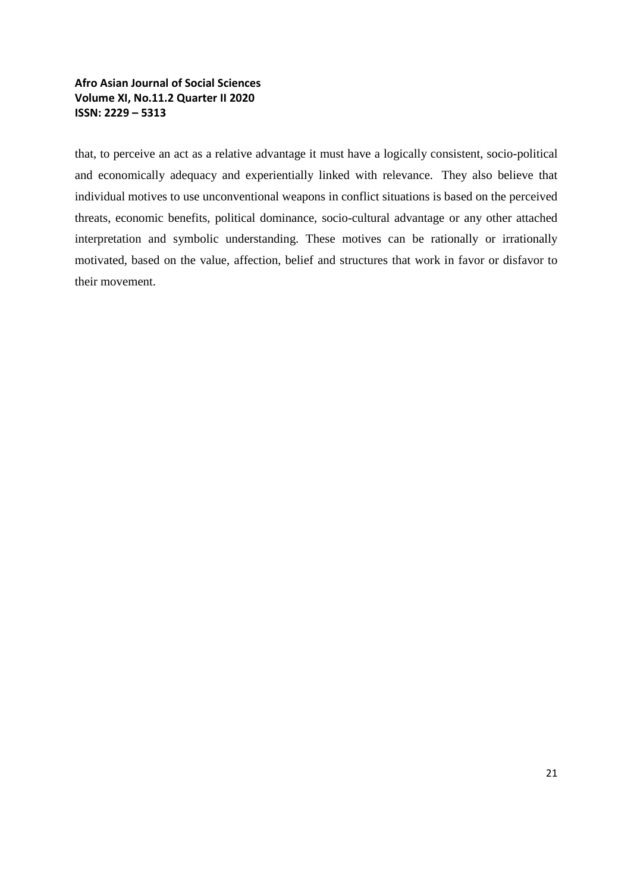that, to perceive an act as a relative advantage it must have a logically consistent, socio-political and economically adequacy and experientially linked with relevance. They also believe that individual motives to use unconventional weapons in conflict situations is based on the perceived threats, economic benefits, political dominance, socio-cultural advantage or any other attached interpretation and symbolic understanding. These motives can be rationally or irrationally motivated, based on the value, affection, belief and structures that work in favor or disfavor to their movement.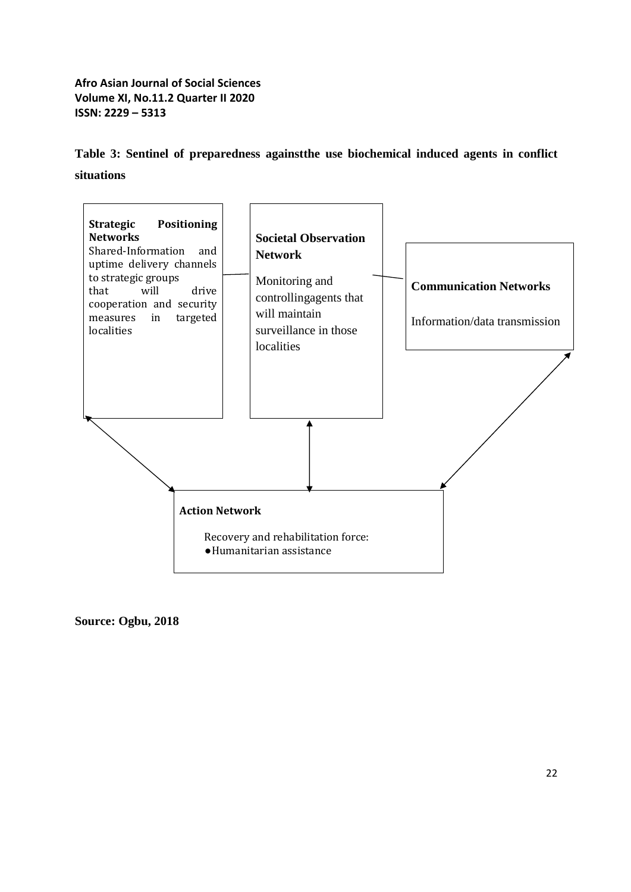**Table 3: Sentinel of preparedness againstthe use biochemical induced agents in conflict situations**



**Source: Ogbu, 2018**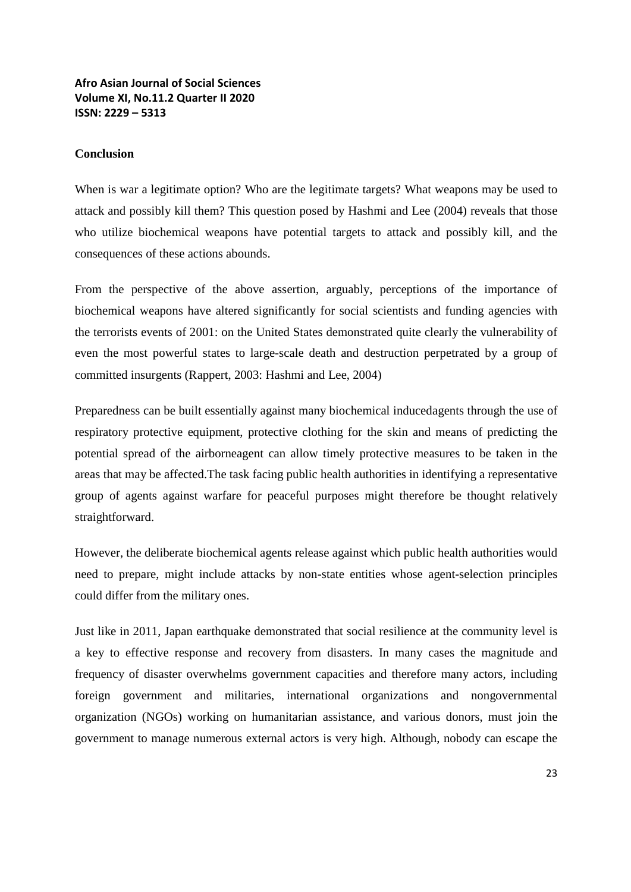#### **Conclusion**

When is war a legitimate option? Who are the legitimate targets? What weapons may be used to attack and possibly kill them? This question posed by Hashmi and Lee (2004) reveals that those who utilize biochemical weapons have potential targets to attack and possibly kill, and the consequences of these actions abounds.

From the perspective of the above assertion, arguably, perceptions of the importance of biochemical weapons have altered significantly for social scientists and funding agencies with the terrorists events of 2001: on the United States demonstrated quite clearly the vulnerability of even the most powerful states to large-scale death and destruction perpetrated by a group of committed insurgents (Rappert, 2003: Hashmi and Lee, 2004)

Preparedness can be built essentially against many biochemical inducedagents through the use of respiratory protective equipment, protective clothing for the skin and means of predicting the potential spread of the airborneagent can allow timely protective measures to be taken in the areas that may be affected.The task facing public health authorities in identifying a representative group of agents against warfare for peaceful purposes might therefore be thought relatively straightforward.

However, the deliberate biochemical agents release against which public health authorities would need to prepare, might include attacks by non-state entities whose agent-selection principles could differ from the military ones.

Just like in 2011, Japan earthquake demonstrated that social resilience at the community level is a key to effective response and recovery from disasters. In many cases the magnitude and frequency of disaster overwhelms government capacities and therefore many actors, including foreign government and militaries, international organizations and nongovernmental organization (NGOs) working on humanitarian assistance, and various donors, must join the government to manage numerous external actors is very high. Although, nobody can escape the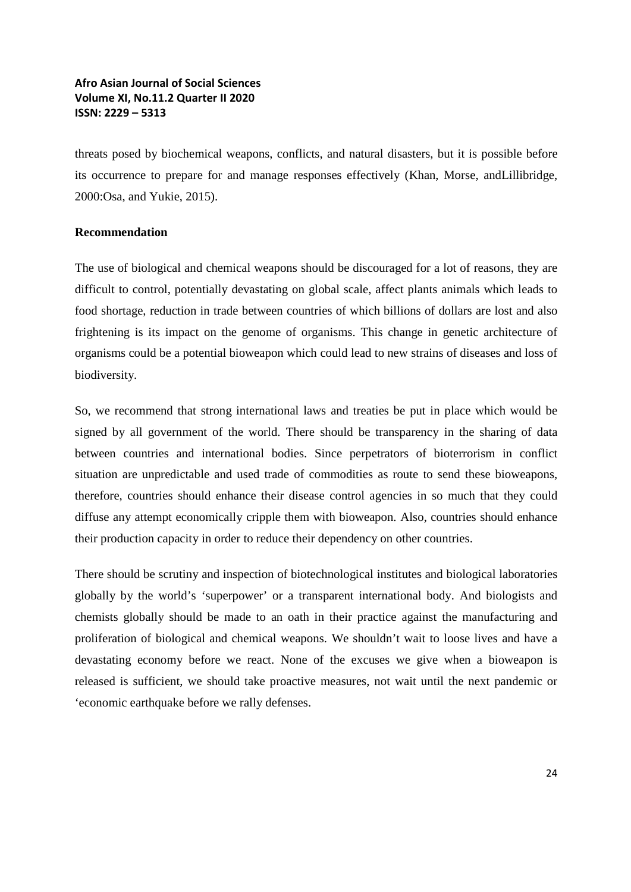threats posed by biochemical weapons, conflicts, and natural disasters, but it is possible before its occurrence to prepare for and manage responses effectively (Khan, Morse, andLillibridge, 2000:Osa, and Yukie, 2015).

#### **Recommendation**

The use of biological and chemical weapons should be discouraged for a lot of reasons, they are difficult to control, potentially devastating on global scale, affect plants animals which leads to food shortage, reduction in trade between countries of which billions of dollars are lost and also frightening is its impact on the genome of organisms. This change in genetic architecture of organisms could be a potential bioweapon which could lead to new strains of diseases and loss of biodiversity.

So, we recommend that strong international laws and treaties be put in place which would be signed by all government of the world. There should be transparency in the sharing of data between countries and international bodies. Since perpetrators of bioterrorism in conflict situation are unpredictable and used trade of commodities as route to send these bioweapons, therefore, countries should enhance their disease control agencies in so much that they could diffuse any attempt economically cripple them with bioweapon. Also, countries should enhance their production capacity in order to reduce their dependency on other countries.

There should be scrutiny and inspection of biotechnological institutes and biological laboratories globally by the world's 'superpower' or a transparent international body. And biologists and chemists globally should be made to an oath in their practice against the manufacturing and proliferation of biological and chemical weapons. We shouldn't wait to loose lives and have a devastating economy before we react. None of the excuses we give when a bioweapon is released is sufficient, we should take proactive measures, not wait until the next pandemic or 'economic earthquake before we rally defenses.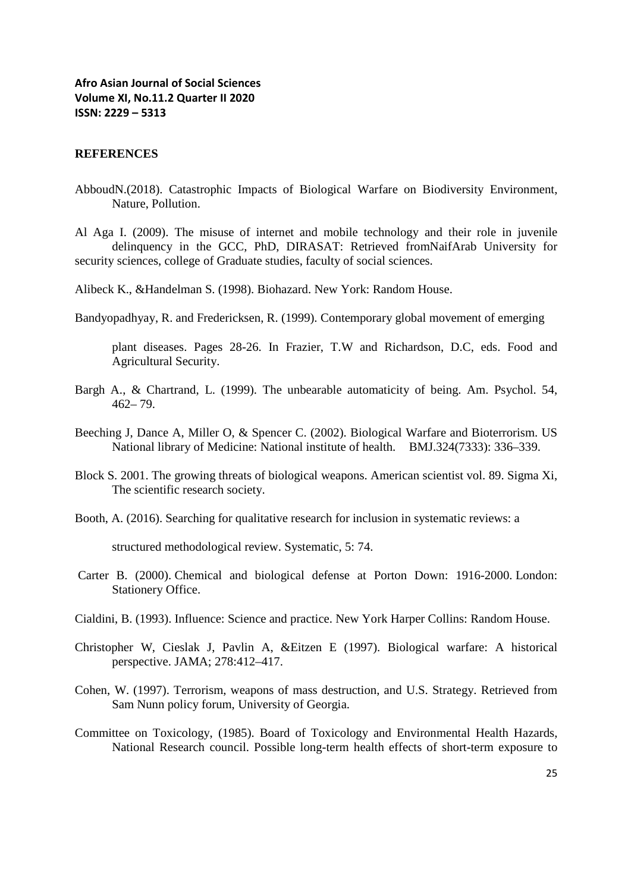#### **REFERENCES**

AbboudN.(2018). Catastrophic Impacts of Biological Warfare on Biodiversity Environment, Nature, Pollution.

Al Aga I. (2009). The misuse of internet and mobile technology and their role in juvenile delinquency in the GCC, PhD, DIRASAT: Retrieved fromNaifArab University for security sciences, college of Graduate studies, faculty of social sciences.

Alibeck K., &Handelman S. (1998). Biohazard. New York: Random House.

Bandyopadhyay, R. and Fredericksen, R. (1999). Contemporary global movement of emerging

plant diseases. Pages 28-26. In Frazier, T.W and Richardson, D.C, eds. Food and Agricultural Security.

- Bargh A., & Chartrand, L. (1999). The unbearable automaticity of being. Am. Psychol. 54, 462– 79.
- Beeching J, Dance A, Miller O, & Spencer C. (2002). Biological Warfare and Bioterrorism. US National library of Medicine: National institute of health. BMJ.324(7333): 336–339.
- Block S. 2001. The growing threats of biological weapons. American scientist vol. 89. Sigma Xi, The scientific research society.
- Booth, A. (2016). Searching for qualitative research for inclusion in systematic reviews: a

structured methodological review. Systematic, 5: 74.

- Carter B. (2000). Chemical and biological defense at Porton Down: 1916-2000. London: Stationery Office.
- Cialdini, B. (1993). Influence: Science and practice. New York Harper Collins: Random House.
- Christopher W, Cieslak J, Pavlin A, &Eitzen E (1997). Biological warfare: A historical perspective. JAMA; 278:412–417.
- Cohen, W. (1997). Terrorism, weapons of mass destruction, and U.S. Strategy. Retrieved from Sam Nunn policy forum, University of Georgia.
- Committee on Toxicology, (1985). Board of Toxicology and Environmental Health Hazards, National Research council. Possible long-term health effects of short-term exposure to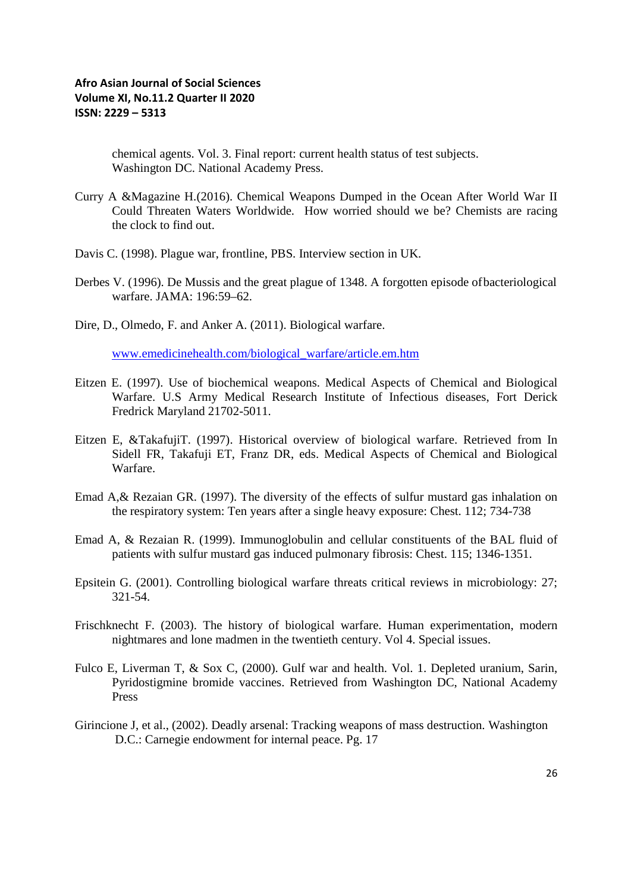chemical agents. Vol. 3. Final report: current health status of test subjects. Washington DC. National Academy Press.

- Curry A &Magazine H.(2016). Chemical Weapons Dumped in the Ocean After World War II Could Threaten Waters Worldwide. How worried should we be? Chemists are racing the clock to find out.
- Davis C. (1998). Plague war, frontline, PBS. Interview section in UK.
- Derbes V. (1996). De Mussis and the great plague of 1348. A forgotten episode ofbacteriological warfare. JAMA: 196:59–62.
- Dire, D., Olmedo, F. and Anker A. (2011). Biological warfare.

www.emedicinehealth.com/biological\_warfare/article.em.htm

- Eitzen E. (1997). Use of biochemical weapons. Medical Aspects of Chemical and Biological Warfare. U.S Army Medical Research Institute of Infectious diseases, Fort Derick Fredrick Maryland 21702-5011.
- Eitzen E, &TakafujiT. (1997). Historical overview of biological warfare. Retrieved from In Sidell FR, Takafuji ET, Franz DR, eds. Medical Aspects of Chemical and Biological Warfare.
- Emad A,& Rezaian GR. (1997). The diversity of the effects of sulfur mustard gas inhalation on the respiratory system: Ten years after a single heavy exposure: Chest. 112; 734-738
- Emad A, & Rezaian R. (1999). Immunoglobulin and cellular constituents of the BAL fluid of patients with sulfur mustard gas induced pulmonary fibrosis: Chest. 115; 1346-1351.
- Epsitein G. (2001). Controlling biological warfare threats critical reviews in microbiology: 27; 321-54.
- Frischknecht F. (2003). The history of biological warfare. Human experimentation, modern nightmares and lone madmen in the twentieth century. Vol 4. Special issues.
- Fulco E, Liverman T, & Sox C, (2000). Gulf war and health. Vol. 1. Depleted uranium, Sarin, Pyridostigmine bromide vaccines. Retrieved from Washington DC, National Academy Press
- Girincione J, et al., (2002). Deadly arsenal: Tracking weapons of mass destruction. Washington D.C.: Carnegie endowment for internal peace. Pg. 17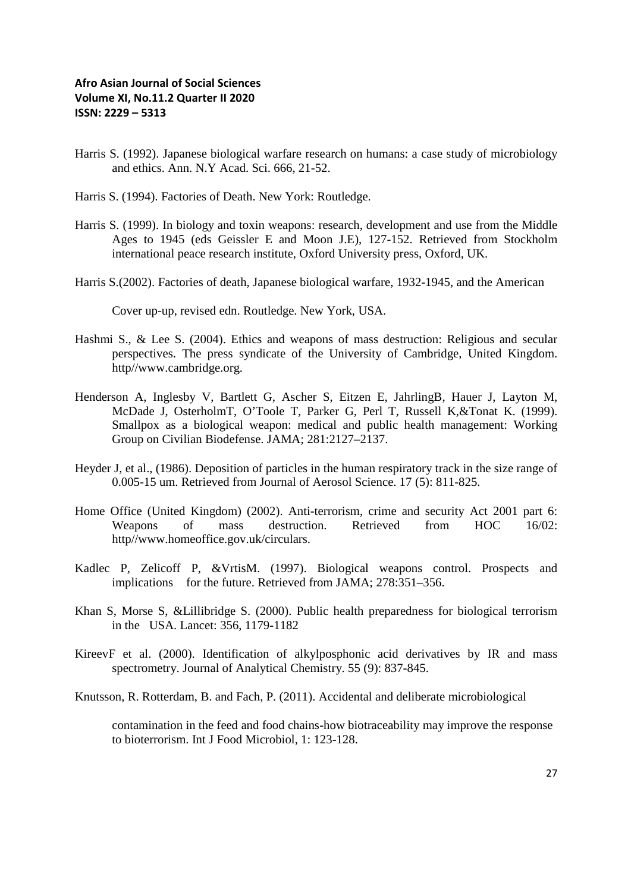- Harris S. (1992). Japanese biological warfare research on humans: a case study of microbiology and ethics. Ann. N.Y Acad. Sci. 666, 21-52.
- Harris S. (1994). Factories of Death. New York: Routledge.
- Harris S. (1999). In biology and toxin weapons: research, development and use from the Middle Ages to 1945 (eds Geissler E and Moon J.E), 127-152. Retrieved from Stockholm international peace research institute, Oxford University press, Oxford, UK.
- Harris S.(2002). Factories of death, Japanese biological warfare, 1932-1945, and the American

Cover up-up, revised edn. Routledge. New York, USA.

- Hashmi S., & Lee S. (2004). Ethics and weapons of mass destruction: Religious and secular perspectives. The press syndicate of the University of Cambridge, United Kingdom. http//www.cambridge.org.
- Henderson A, Inglesby V, Bartlett G, Ascher S, Eitzen E, JahrlingB, Hauer J, Layton M, McDade J, OsterholmT, O'Toole T, Parker G, Perl T, Russell K,&Tonat K. (1999). Smallpox as a biological weapon: medical and public health management: Working Group on Civilian Biodefense. JAMA; 281:2127–2137.
- Heyder J, et al., (1986). Deposition of particles in the human respiratory track in the size range of 0.005-15 um. Retrieved from Journal of Aerosol Science. 17 (5): 811-825.
- Home Office (United Kingdom) (2002). Anti-terrorism, crime and security Act 2001 part 6: Weapons of mass destruction. Retrieved from HOC 16/02: http//www.homeoffice.gov.uk/circulars.
- Kadlec P, Zelicoff P, &VrtisM. (1997). Biological weapons control. Prospects and implications for the future. Retrieved from JAMA; 278:351–356.
- Khan S, Morse S, &Lillibridge S. (2000). Public health preparedness for biological terrorism in the USA. Lancet: 356, 1179-1182
- KireevF et al. (2000). Identification of alkylposphonic acid derivatives by IR and mass spectrometry. Journal of Analytical Chemistry. 55 (9): 837-845.
- Knutsson, R. Rotterdam, B. and Fach, P. (2011). Accidental and deliberate microbiological

contamination in the feed and food chains-how biotraceability may improve the response to bioterrorism. Int J Food Microbiol, 1: 123-128.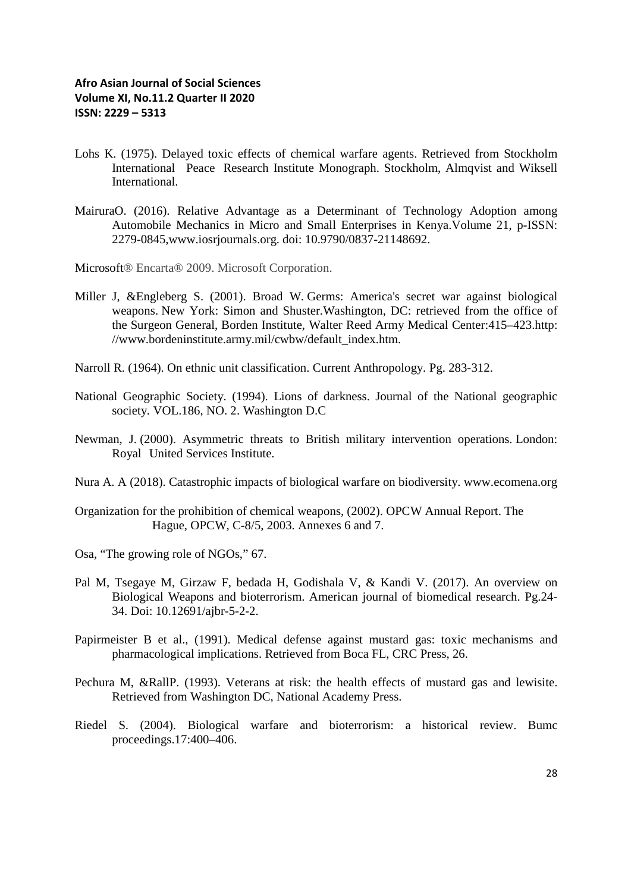- Lohs K. (1975). Delayed toxic effects of chemical warfare agents. Retrieved from Stockholm International Peace Research Institute Monograph. Stockholm, Almqvist and Wiksell **International**
- MairuraO. (2016). Relative Advantage as a Determinant of Technology Adoption among Automobile Mechanics in Micro and Small Enterprises in Kenya.Volume 21, p-ISSN: 2279-0845,www.iosrjournals.org. doi: 10.9790/0837-21148692.
- Microsoft® Encarta® 2009. Microsoft Corporation.
- Miller J, &Engleberg S. (2001). Broad W. Germs: America's secret war against biological weapons. New York: Simon and Shuster.Washington, DC: retrieved from the office of the Surgeon General, Borden Institute, Walter Reed Army Medical Center:415–423.http: //www.bordeninstitute.army.mil/cwbw/default\_index.htm.
- Narroll R. (1964). On ethnic unit classification. Current Anthropology. Pg. 283-312.
- National Geographic Society. (1994). Lions of darkness. Journal of the National geographic society. VOL.186, NO. 2. Washington D.C
- Newman, J. (2000). Asymmetric threats to British military intervention operations. London: Royal United Services Institute.
- Nura A. A (2018). Catastrophic impacts of biological warfare on biodiversity. www.ecomena.org
- Organization for the prohibition of chemical weapons, (2002). OPCW Annual Report. The Hague, OPCW, C-8/5, 2003. Annexes 6 and 7.
- Osa, "The growing role of NGOs," 67.
- Pal M, Tsegaye M, Girzaw F, bedada H, Godishala V, & Kandi V. (2017). An overview on Biological Weapons and bioterrorism. American journal of biomedical research. Pg.24- 34. Doi: 10.12691/ajbr-5-2-2.
- Papirmeister B et al., (1991). Medical defense against mustard gas: toxic mechanisms and pharmacological implications. Retrieved from Boca FL, CRC Press, 26.
- Pechura M, &RallP. (1993). Veterans at risk: the health effects of mustard gas and lewisite. Retrieved from Washington DC, National Academy Press.
- Riedel S. (2004). Biological warfare and bioterrorism: a historical review. Bumc proceedings.17:400–406.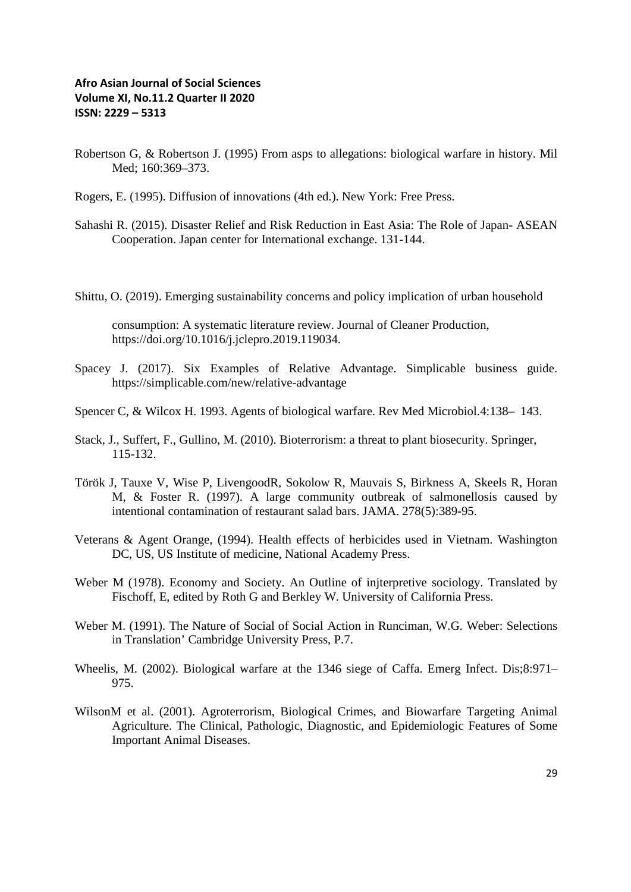- Robertson G, & Robertson J. (1995) From asps to allegations: biological warfare in history. Mil Med: 160:369-373.
- Rogers, E. (1995). Diffusion of innovations (4th ed.). New York: Free Press.
- Sahashi R. (2015). Disaster Relief and Risk Reduction in East Asia: The Role of Japan- ASEAN Cooperation. Japan center for International exchange. 131-144.
- Shittu, O. (2019). Emerging sustainability concerns and policy implication of urban household

consumption: A systematic literature review. Journal of Cleaner Production, https://doi.org/10.1016/j.jclepro.2019.119034.

- Spacey J. (2017). Six Examples of Relative Advantage. Simplicable business guide. https://simplicable.com/new/relative-advantage
- Spencer C, & Wilcox H. 1993. Agents of biological warfare. Rev Med Microbiol.4:138– 143.
- Stack, J., Suffert, F., Gullino, M. (2010). Bioterrorism: a threat to plant biosecurity. Springer, 115-132.
- Török J, Tauxe V, Wise P, LivengoodR, Sokolow R, Mauvais S, Birkness A, Skeels R, Horan M, & Foster R. (1997). A large community outbreak of salmonellosis caused by intentional contamination of restaurant salad bars. JAMA. 278(5):389-95.
- Veterans & Agent Orange, (1994). Health effects of herbicides used in Vietnam. Washington DC, US, US Institute of medicine, National Academy Press.
- Weber M (1978). Economy and Society. An Outline of injterpretive sociology. Translated by Fischoff, E, edited by Roth G and Berkley W. University of California Press.
- Weber M. (1991). The Nature of Social of Social Action in Runciman, W.G. Weber: Selections in Translation' Cambridge University Press, P.7.
- Wheelis, M. (2002). Biological warfare at the 1346 siege of Caffa. Emerg Infect. Dis;8:971– 975.
- WilsonM et al. (2001). Agroterrorism, Biological Crimes, and Biowarfare Targeting Animal Agriculture. The Clinical, Pathologic, Diagnostic, and Epidemiologic Features of Some Important Animal Diseases.